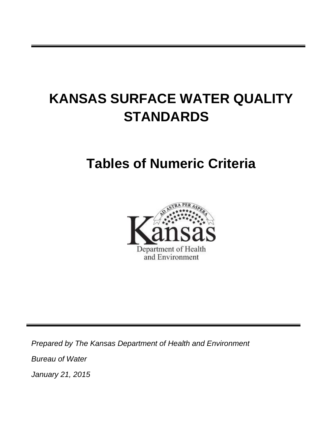# **KANSAS SURFACE WATER QUALITY STANDARDS**

## **Tables of Numeric Criteria**



*Prepared by The Kansas Department of Health and Environment Bureau of Water January 21, 2015*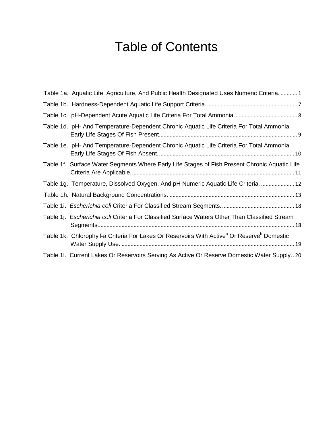## Table of Contents

| Table 1a. Aquatic Life, Agriculture, And Public Health Designated Uses Numeric Criteria.  1                        |
|--------------------------------------------------------------------------------------------------------------------|
|                                                                                                                    |
|                                                                                                                    |
| Table 1d. pH- And Temperature-Dependent Chronic Aquatic Life Criteria For Total Ammonia                            |
| Table 1e. pH- And Temperature-Dependent Chronic Aquatic Life Criteria For Total Ammonia                            |
| Table 1f. Surface Water Segments Where Early Life Stages of Fish Present Chronic Aquatic Life                      |
| Table 1g. Temperature, Dissolved Oxygen, And pH Numeric Aquatic Life Criteria.  12                                 |
|                                                                                                                    |
|                                                                                                                    |
| Table 1j. Escherichia coli Criteria For Classified Surface Waters Other Than Classified Stream                     |
| Table 1k. Chlorophyll-a Criteria For Lakes Or Reservoirs With Active <sup>a</sup> Or Reserve <sup>b</sup> Domestic |
| Table 1I. Current Lakes Or Reservoirs Serving As Active Or Reserve Domestic Water Supply20                         |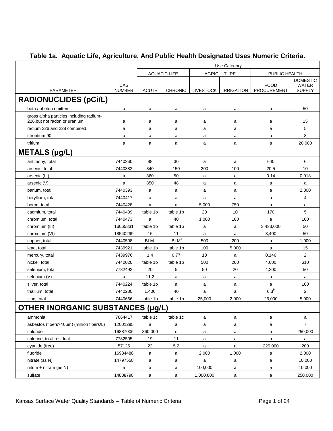<span id="page-2-0"></span>

|                                                                          |                      | Use Category            |                     |                  |                    |                                   |                               |  |
|--------------------------------------------------------------------------|----------------------|-------------------------|---------------------|------------------|--------------------|-----------------------------------|-------------------------------|--|
|                                                                          |                      |                         | <b>AQUATIC LIFE</b> |                  | <b>AGRICULTURE</b> | PUBLIC HEALTH                     |                               |  |
|                                                                          |                      |                         |                     |                  |                    |                                   | <b>DOMESTIC</b>               |  |
| <b>PARAMETER</b>                                                         | CAS<br><b>NUMBER</b> | <b>ACUTE</b>            | <b>CHRONIC</b>      | <b>LIVESTOCK</b> | <b>IRRIGATION</b>  | <b>FOOD</b><br><b>PROCUREMENT</b> | <b>WATER</b><br><b>SUPPLY</b> |  |
|                                                                          |                      |                         |                     |                  |                    |                                   |                               |  |
| <b>RADIONUCLIDES (pCi/L)</b>                                             |                      |                         |                     |                  |                    |                                   |                               |  |
| beta / photon emitters                                                   | a                    | a                       | a                   | a                | a                  | a                                 | 50                            |  |
| gross alpha particles including radium-<br>226, but not radon or uranium | a                    | a                       | a                   | a                | а                  | a                                 | 15                            |  |
| radium 226 and 228 combined                                              | a                    | a                       | a                   | a                | a                  | a                                 | 5                             |  |
| strontium 90                                                             | a                    | a                       | a                   | a                | a                  | a                                 | 8                             |  |
| tritium                                                                  | a                    | a                       | a                   | a                | a                  | a                                 | 20,000                        |  |
| METALS (µg/L)                                                            |                      |                         |                     |                  |                    |                                   |                               |  |
| antimony, total                                                          | 7440360              | 88                      | 30                  | a                | a                  | 640                               | 6                             |  |
| arsenic, total                                                           | 7440382              | 340                     | 150                 | 200              | 100                | 20.5                              | 10                            |  |
| arsenic (III)                                                            | a                    | 360                     | 50                  | a                | a                  | 0.14                              | 0.018                         |  |
| arsenic (V)                                                              | a                    | 850                     | 48                  | a                | a                  | a                                 | a                             |  |
| barium, total                                                            | 7440393              | a                       | a                   | a                | a                  | a                                 | 2,000                         |  |
| beryllium, total                                                         | 7440417              | a                       | a                   | a                | a                  | a                                 | 4                             |  |
| boron, total                                                             | 7440428              | a                       | a                   | 5,000            | 750                | a                                 | a                             |  |
| cadmium, total                                                           | 7440439              | table 1b                | table 1b            | 20               | 10                 | 170                               | 5                             |  |
| chromium, total                                                          | 7440473              | a                       | 40                  | 1,000            | 100                | a                                 | 100                           |  |
| chromium (III)                                                           | 16065831             | table 1b                | table 1b            | a                | a                  | 3,433,000                         | 50                            |  |
| chromium (VI)                                                            | 18540299             | 16                      | 11                  | a                | a                  | 3,400                             | 50                            |  |
| copper, total                                                            | 7440508              | <b>BLM</b> <sup>d</sup> | BLM <sup>d</sup>    | 500              | 200                | a                                 | 1,000                         |  |
| lead, total                                                              | 7439921              | table 1b                | table 1b            | 100              | 5,000              | a                                 | 15                            |  |
| mercury, total                                                           | 7439976              | 1.4                     | 0.77                | 10               | а                  | 0.146                             | 2                             |  |
| nickel, total                                                            | 7440020              | table 1b                | table 1b            | 500              | 200                | 4,600                             | 610                           |  |
| selenium, total                                                          | 7782492              | 20                      | 5                   | 50               | 20                 | 4,200                             | 50                            |  |
| selenium (V)                                                             | a                    | 11.2                    | a                   | a                | a                  | a                                 | a                             |  |
| silver, total                                                            | 7440224              | table 1b                | a                   | a                | a                  | a                                 | 100                           |  |
| thallium, total                                                          | 7440280              | 1,400                   | 40                  | a                | a                  | 6.3 <sup>b</sup>                  | 2                             |  |
| zinc, total                                                              | 7440666              | table 1b                | table 1b            | 25,000           | 2,000              | 26,000                            | 5,000                         |  |
| <b>OTHER INORGANIC SUBSTANCES (µg/L)</b>                                 |                      |                         |                     |                  |                    |                                   |                               |  |
| ammonia                                                                  | 7664417              | table 1c                | table 1c            | a                | a                  | a                                 | a                             |  |
| asbestos (fibers>10um) (million-fibers/L)                                | 12001295             | $\mathsf{a}$            | a                   | a                | a                  | a                                 | $\overline{7}$                |  |
| chloride                                                                 | 16887006             | 860,000                 | c                   | a                | $\mathsf{a}$       | a                                 | 250,000                       |  |
| chlorine, total residual                                                 | 7782505              | 19                      | 11                  | a                | $\mathsf{a}$       | $\mathsf{a}$                      | $\mathsf{a}$                  |  |
| cyanide (free)                                                           | 57125                | 22                      | 5.2                 | a                | $\mathsf{a}$       | 220,000                           | 200                           |  |
| fluoride                                                                 | 16984488             | a                       | a                   | 2,000            | 1,000              | a                                 | 2,000                         |  |
| nitrate (as N)                                                           | 14797558             | a                       | a                   | a                | a                  | a                                 | 10,000                        |  |
| $nitrite + nitrate (as N)$                                               | a                    | a                       | a                   | 100,000          | a                  | a                                 | 10,000                        |  |
| sulfate                                                                  | 14808798             | a                       | a                   | 1,000,000        | a                  | a                                 | 250,000                       |  |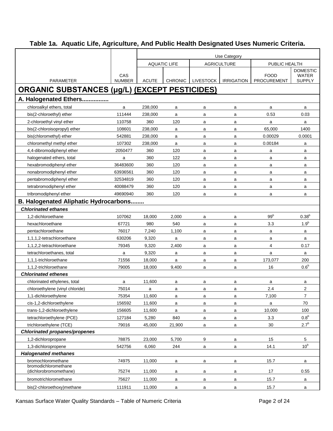| Table 1a. Aquatic Life, Agriculture, And Public Health Designated Uses Numeric Criteria. |  |  |  |  |
|------------------------------------------------------------------------------------------|--|--|--|--|
|                                                                                          |  |  |  |  |

|                                                      |                      | Use Category |                     |                  |                    |                                   |                               |  |
|------------------------------------------------------|----------------------|--------------|---------------------|------------------|--------------------|-----------------------------------|-------------------------------|--|
|                                                      |                      |              | <b>AQUATIC LIFE</b> |                  | <b>AGRICULTURE</b> | PUBLIC HEALTH                     |                               |  |
|                                                      |                      |              |                     |                  |                    |                                   | <b>DOMESTIC</b>               |  |
| <b>PARAMETER</b>                                     | CAS<br><b>NUMBER</b> | <b>ACUTE</b> | <b>CHRONIC</b>      | <b>LIVESTOCK</b> | <b>IRRIGATION</b>  | <b>FOOD</b><br><b>PROCUREMENT</b> | <b>WATER</b><br><b>SUPPLY</b> |  |
| <b>ORGANIC SUBSTANCES (µg/L) (EXCEPT PESTICIDES)</b> |                      |              |                     |                  |                    |                                   |                               |  |
| A. Halogenated Ethers                                |                      |              |                     |                  |                    |                                   |                               |  |
| chloroalkyl ethers, total                            | a                    | 238,000      | a                   | a                | a                  | a                                 | a                             |  |
| bis(2-chloroethyl) ether                             | 111444               | 238,000      | a                   | a                | a                  | 0.53                              | 0.03                          |  |
| 2-chloroethyl vinyl ether                            | 110758               | 360          | 120                 | a                | a                  | a                                 | a                             |  |
| bis(2-chloroisopropyl) ether                         | 108601               | 238,000      | a                   | a                | a                  | 65,000                            | 1400                          |  |
| bis(chloromethyl) ether                              | 542881               | 238,000      | a                   | a                | a                  | 0.00029                           | 0.0001                        |  |
| chloromethyl methyl ether                            | 107302               | 238,000      | a                   | a                | a                  | 0.00184                           | a                             |  |
| 4,4-dibromodiphenyl ether                            | 2050477              | 360          | 120                 | a                | a                  | a                                 | a                             |  |
| halogenated ethers, total                            | a                    | 360          | 122                 | a                | a                  | a                                 | a                             |  |
| hexabromodiphenyl ether                              | 36483600             | 360          | 120                 | a                | a                  | a                                 | a                             |  |
| nonabromodiphenyl ether                              | 63936561             | 360          | 120                 | a                | a                  | a                                 | a                             |  |
| pentabromodiphenyl ether                             | 32534819             | 360          | 120                 | a                | a                  | a                                 | a                             |  |
| tetrabromodiphenyl ether                             | 40088479             | 360          | 120                 | a                | a                  | a                                 | a                             |  |
| tribromodiphenyl ether                               | 49690940             | 360          | 120                 | a                | a                  | a                                 | a                             |  |
| <b>B. Halogenated Aliphatic Hydrocarbons</b>         |                      |              |                     |                  |                    |                                   |                               |  |
| <b>Chlorinated ethanes</b>                           |                      |              |                     |                  |                    |                                   |                               |  |
| 1,2-dichloroethane                                   | 107062               | 18,000       | 2,000               | a                | a                  | 99 <sup>b</sup>                   | $0.38^{b}$                    |  |
| hexachloroethane                                     | 67721                | 980          | 540                 | a                | a                  | 3.3                               | 1.9 <sup>b</sup>              |  |
| pentachloroethane                                    | 76017                | 7,240        | 1,100               | a                | a                  | a                                 | a                             |  |
| 1,1,1,2-tetrachloroethane                            | 630206               | 9,320        | a                   | a                | a                  | a                                 | a                             |  |
| 1,1,2,2-tetrachloroethane                            | 79345                | 9,320        | 2,400               | a                | a                  | 4                                 | 0.17                          |  |
| tetrachloroethanes, total                            | a                    | 9,320        | a                   | a                | a                  | a                                 | a                             |  |
| 1.1.1-trichloroethane                                | 71556                | 18,000       | a                   | a                | a                  | 173,077                           | 200                           |  |
| 1,1,2-trichloroethane                                | 79005                | 18,000       | 9,400               | a                | a                  | 16                                | 0.6 <sup>b</sup>              |  |
| <b>Chlorinated ethenes</b>                           |                      |              |                     |                  |                    |                                   |                               |  |
| chlorinated ethylenes, total                         | a                    | 11,600       | a                   | a                | a                  | a                                 | a                             |  |
| chloroethylene (vinyl chloride)                      | 75014                | a            | a                   | a                | a                  | 2.4                               | $\overline{2}$                |  |
| 1,1-dichloroethylene                                 | 75354                | 11,600       | a                   | a                | a                  | 7,100                             | $\overline{7}$                |  |
| cis-1,2-dichloroethylene                             | 156592               | 11,600       | a                   | a                | a                  | a                                 | 70                            |  |
| trans-1,2-dichloroethylene                           | 156605               | 11,600       | a                   | a                | a                  | 10,000                            | 100                           |  |
| tetrachloroethylene (PCE)                            | 127184               | 5,280        | 840                 | a                | a                  | 3.3                               | 0.8 <sup>b</sup>              |  |
| trichloroethylene (TCE)                              | 79016                | 45,000       | 21,900              | a                | a                  | 30                                | 2.7 <sup>b</sup>              |  |
| <b>Chlorinated propanes/propenes</b>                 |                      |              |                     |                  |                    |                                   |                               |  |
| 1,2-dichloropropane                                  | 78875                | 23,000       | 5,700               | 9                | a                  | 15                                | 5                             |  |
| 1,3-dichloropropene                                  | 542756               | 6,060        | 244                 | a                | a                  | 14.1                              | 10 <sup>b</sup>               |  |
| <b>Halogenated methanes</b>                          |                      |              |                     |                  |                    |                                   |                               |  |
| bromochloromethane                                   | 74975                | 11,000       | a                   | a                | a                  | 15.7                              | a                             |  |
| bromodichloromethane<br>(dichlorobromomethane)       | 75274                | 11,000       | a                   | a                | a                  | 17                                | 0.55                          |  |
| bromotrichloromethane                                | 75627                | 11,000       | a                   | a                | a                  | 15.7                              | a                             |  |
| bis(2-chloroethoxy)methane                           | 111911               | 11,000       | a                   | a                | a                  | 15.7                              | a                             |  |

Kansas Surface Water Quality Standards – Table of Numeric Criteria **Page 2 of 24** Page 2 of 24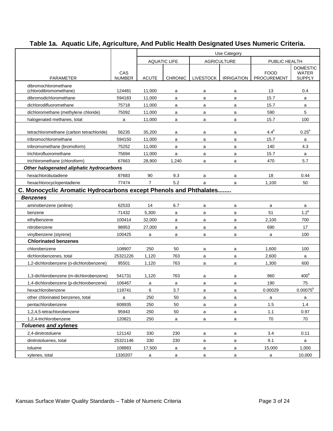|                                                                   |                      | Use Category   |                     |           |                    |                                   |                               |  |  |  |  |
|-------------------------------------------------------------------|----------------------|----------------|---------------------|-----------|--------------------|-----------------------------------|-------------------------------|--|--|--|--|
|                                                                   |                      |                | <b>AQUATIC LIFE</b> |           | <b>AGRICULTURE</b> | PUBLIC HEALTH                     |                               |  |  |  |  |
|                                                                   |                      |                |                     |           |                    |                                   | <b>DOMESTIC</b>               |  |  |  |  |
| <b>PARAMETER</b>                                                  | CAS<br><b>NUMBER</b> | <b>ACUTE</b>   | <b>CHRONIC</b>      | LIVESTOCK | <b>IRRIGATION</b>  | <b>FOOD</b><br><b>PROCUREMENT</b> | <b>WATER</b><br><b>SUPPLY</b> |  |  |  |  |
| dibromochloromethane                                              |                      |                |                     |           |                    |                                   |                               |  |  |  |  |
| (chlorodibromomethane)                                            | 124481               | 11,000         | a                   | a         | a                  | 13                                | 0.4                           |  |  |  |  |
| dibromodichloromethane                                            | 594183               | 11,000         | a                   | a         | a                  | 15.7                              | a                             |  |  |  |  |
| dichlorodifluoromethane                                           | 75718                | 11,000         | a                   | a         | a                  | 15.7                              | a                             |  |  |  |  |
| dichloromethane (methylene chloride)                              | 75092                | 11,000         | a                   | a         | a                  | 590                               | 5                             |  |  |  |  |
| halogenated methanes, total                                       | a                    | 11,000         | a                   | a         | a                  | 15.7                              | 100                           |  |  |  |  |
| tetrachloromethane (carbon tetrachloride)                         | 56235                | 35,200         | a                   | a         | a                  | $4.4^b$                           | $0.25^{b}$                    |  |  |  |  |
| tribromochloromethane                                             | 594150               | 11,000         | a                   | a         | a                  | 15.7                              | a                             |  |  |  |  |
| tribromomethane (bromoform)                                       | 75252                | 11,000         | a                   | a         | a                  | 140                               | 4.3                           |  |  |  |  |
| trichlorofluoromethane                                            | 75694                | 11,000         | a                   | a         | a                  | 15.7                              | a                             |  |  |  |  |
| trichloromethane (chloroform)                                     | 67663                | 28,900         | 1,240               | a         | a                  | 470                               | 5.7                           |  |  |  |  |
| Other halogenated aliphatic hydrocarbons                          |                      |                |                     |           |                    |                                   |                               |  |  |  |  |
| hexachlorobutadiene                                               | 87683                | 90             | 9.3                 | a         | a                  | 18                                | 0.44                          |  |  |  |  |
| hexachlorocyclopentadiene                                         | 77474                | $\overline{7}$ | 5.2                 | a         | a                  | 1,100                             | 50                            |  |  |  |  |
| C. Monocyclic Aromatic Hydrocarbons except Phenols and Phthalates |                      |                |                     |           |                    |                                   |                               |  |  |  |  |
| <b>Benzenes</b>                                                   |                      |                |                     |           |                    |                                   |                               |  |  |  |  |
| aminobenzene (aniline)                                            | 62533                | 14             | 6.7                 | a         | a                  | a                                 | a                             |  |  |  |  |
| benzene                                                           | 71432                | 5,300          | a                   | a         | a                  | 51                                | $1.2^b$                       |  |  |  |  |
| ethylbenzene                                                      | 100414               | 32,000         | a                   | a         | a                  | 2,100                             | 700                           |  |  |  |  |
| nitrobenzene                                                      | 98953                | 27,000         | a                   | a         | a                  | 690                               | 17                            |  |  |  |  |
| vinylbenzene (styrene)                                            | 100425               | a              | a                   | a         | a                  | a                                 | 100                           |  |  |  |  |
| <b>Chlorinated benzenes</b>                                       |                      |                |                     |           |                    |                                   |                               |  |  |  |  |
| chlorobenzene                                                     | 108907               | 250            | 50                  |           |                    | 1,600                             | 100                           |  |  |  |  |
| dichlorobenzenes, total                                           | 25321226             | 1,120          | 763                 | a         | a                  | 2,600                             |                               |  |  |  |  |
| 1,2-dichlorobenzene (o-dichlorobenzene)                           | 95501                |                | 763                 | a         | a                  | 1,300                             | a<br>600                      |  |  |  |  |
|                                                                   |                      | 1,120          |                     | a         | a                  |                                   |                               |  |  |  |  |
| 1,3-dichlorobenzene (m-dichlorobenzene)                           | 541731               | 1,120          | 763                 | a         | a                  | 960                               | 400 <sup>b</sup>              |  |  |  |  |
| 1,4-dichlorobenzene (p-dichlorobenzene)                           | 106467               | a              | a                   | a         | a                  | 190                               | 75                            |  |  |  |  |
| hexachlorobenzene                                                 | 118741               | 6              | 3.7                 | a         | a                  | 0.00029                           | $0.00075^b$                   |  |  |  |  |
| other chlorinated benzenes, total                                 | a                    | 250            | 50                  | a         | a                  | a                                 | a                             |  |  |  |  |
| pentachlorobenzene                                                | 608935               | 250            | 50                  | a         | a                  | 1.5                               | $1.4$                         |  |  |  |  |
| 1,2,4,5-tetrachlorobenzene                                        | 95943                | 250            | 50                  | a         | a                  | 1.1                               | 0.97                          |  |  |  |  |
| 1,2,4-trichlorobenzene                                            | 120821               | 250            | a                   | a         | a                  | 70                                | 70                            |  |  |  |  |
| <b>Toluenes and xylenes</b>                                       |                      |                |                     |           |                    |                                   |                               |  |  |  |  |
| 2,4-dinitrotoluene                                                | 121142               | 330            | 230                 | a         | a                  | 3.4                               | 0.11                          |  |  |  |  |
| dinitrotoluenes, total                                            | 25321146             | 330            | 230                 | a         | a                  | 9.1                               | $\mathsf{a}$                  |  |  |  |  |
| toluene                                                           | 108883               | 17,500         | a                   | a         | a                  | 15,000                            | 1,000                         |  |  |  |  |
| xylenes, total                                                    | 1330207              | a              | a                   | a         | a                  | a                                 | 10,000                        |  |  |  |  |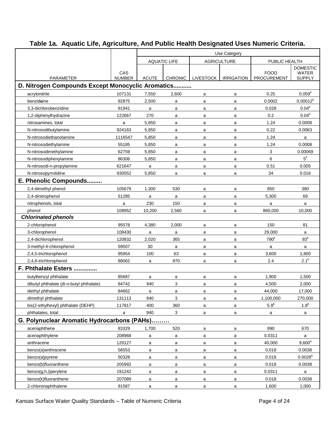|                                                   |                      | Use Category        |                |                  |                    |                            |                        |
|---------------------------------------------------|----------------------|---------------------|----------------|------------------|--------------------|----------------------------|------------------------|
|                                                   |                      | <b>AQUATIC LIFE</b> |                |                  | <b>AGRICULTURE</b> | PUBLIC HEALTH              |                        |
|                                                   |                      |                     |                |                  |                    |                            | <b>DOMESTIC</b>        |
| <b>PARAMETER</b>                                  | CAS<br><b>NUMBER</b> | <b>ACUTE</b>        | <b>CHRONIC</b> | <b>LIVESTOCK</b> | <b>IRRIGATION</b>  | <b>FOOD</b><br>PROCUREMENT | WATER<br><b>SUPPLY</b> |
| D. Nitrogen Compounds Except Monocyclic Aromatics |                      |                     |                |                  |                    |                            |                        |
| acrylonitrile                                     | 107131               | 7,550               | 2,600          |                  | a                  | 0.25                       | $0.059^{b}$            |
| benzideine                                        | 92875                | 2,500               | a              | a                | a                  | 0.0002                     | $0.00012^{b}$          |
| 3.3-dichlorobenzidine                             | 91941                | $\mathsf{a}$        | a              | a<br>a           | a                  | 0.028                      | 0.04 <sup>b</sup>      |
| 1,2-diphenylhydrazine                             | 122667               | 270                 | a              | a                | a                  | 0.2                        | 0.04 <sup>b</sup>      |
| nitrosamines, total                               | a                    | 5,850               | a              | a                | a                  | 1.24                       | 0.0008                 |
| N-nitrosodibutylamine                             | 924163               | 5,850               | a              | a                | a                  | 0.22                       | 0.0063                 |
| N-nitrosodiethanolamine                           | 1116547              | 5,850               | a              | a                | a                  | 1.24                       | a                      |
| N-nitrosodiethylamine                             | 55185                | 5,850               | a              | a                | a                  | 1.24                       | 0.0008                 |
| N-nitrosodimethylamine                            | 62759                | 5,850               | a              | a                | a                  | 3                          | 0.00069                |
| N-nitrosodiphenylamine                            | 86306                | 5,850               | a              | a                | a                  | 6                          | $5^{\rm b}$            |
| N-nitrosodi-n-propylamine                         | 621647               | $\mathsf{a}$        | a              | a                | a                  | 0.51                       | 0.005                  |
| N-nitrosopyrrolidine                              | 930552               | 5.850               | a              | a                | a                  | 34                         | 0.016                  |
| E. Phenolic Compounds                             |                      |                     |                |                  |                    |                            |                        |
| 2,4-dimethyl phenol                               | 105679               | 1,300               | 530            | a                | a                  | 850                        | 380                    |
| 2,4-dinitrophenol                                 | 51285                | $\mathsf{a}$        | a              | a                | a                  | 5,300                      | 69                     |
| nitrophenols, total                               | a                    | 230                 | 150            | a                | a                  | a                          | a                      |
| phenol                                            | 108952               | 10,200              | 2,560          | a                | a                  | 860,000                    | 10,000                 |
| <b>Chlorinated phenols</b>                        |                      |                     |                |                  |                    |                            |                        |
| 2-chlorophenol                                    | 95578                | 4,380               | 2,000          | a                | a                  | 150                        | 81                     |
| 3-chlorophenol                                    | 108430               | a                   | a              | a                | a                  | 29,000                     | a                      |
| 2,4-dichlorophenol                                | 120832               | 2,020               | 365            | a                | a                  | 790 <sup>b</sup>           | 93 <sup>b</sup>        |
| 3-methyl-4-chlorophenol                           | 59507                | 30                  | a              | a                | a                  | a                          | a                      |
| 2,4,5-trichlorophenol                             | 95954                | 100                 | 63             | a                | a                  | 3,600                      | 1,800                  |
| 2,4,6-trichlorophenol                             | 88062                | a                   | 970            | a                | a                  | 2.4                        | 2.1 <sup>b</sup>       |
| F. Phthalate Esters                               |                      |                     |                |                  |                    |                            |                        |
| butylbenzyl phthalate                             | 85687                | $\mathsf{a}$        | a              | a                | a                  | 1,900                      | 1,500                  |
| dibutyl phthalate (di-n-butyl phthalate)          | 84742                | 940                 | 3              | a                | a                  | 4,500                      | 2,000                  |
| diethyl phthalate                                 | 84662                | a                   | а              | a                | a                  | 44,000                     | 17,000                 |
| dimethyl phthalate                                | 131113               | 940                 | 3              | a                | a                  | 1,100,000                  | 270,000                |
| bis(2-ethylhexyl) phthalate (DEHP)                | 117817               | 400                 | 360            | a                | a                  | 5.9 <sup>b</sup>           | $1.8^{\rm b}$          |
| phthalates, total                                 | a                    | 940                 | 3              | a                | a                  | a                          | a                      |
| G. Polynuclear Aromatic Hydrocarbons (PAHs)       |                      |                     |                |                  |                    |                            |                        |
| acenaphthene                                      | 83329                | 1,700               | 520            | a                | a                  | 990                        | 670                    |
| acenaphthylene                                    | 208968               | a                   | a              | a                | a                  | 0.0311                     | a                      |
| anthracene                                        | 120127               | a                   | a              | a                | a                  | 40,000                     | $9,600^{\circ}$        |
| benzo(a)anthracene                                | 56553                | a                   | a              | a                | a                  | 0.018                      | 0.0038                 |
| benzo(a)pyrene                                    | 50328                | a                   | а              | a                | a                  | 0.018                      | $0.0028^{b}$           |
| benzo(b)fluoranthene                              | 205992               | a                   | a              | a                | a                  | 0.018                      | 0.0038                 |
| benzo(g,h,i)perylene                              | 191242               | a                   | a              | a                | a                  | 0.0311                     | a                      |
| benzo(k)fluoranthene                              | 207089               | a                   | a              | a                | a                  | 0.018                      | 0.0038                 |
| 2-chloronaphthalene                               | 91587                | a                   | a              | a                | a                  | 1,600                      | 1,000                  |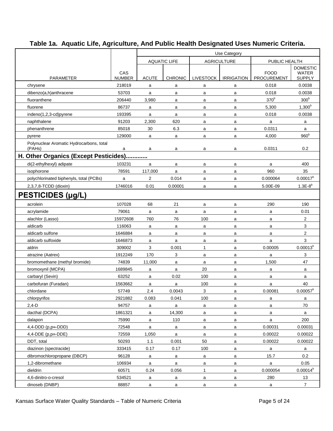|                                          |                      | Use Category |                     |                  |                    |                            |                               |
|------------------------------------------|----------------------|--------------|---------------------|------------------|--------------------|----------------------------|-------------------------------|
|                                          |                      |              | <b>AQUATIC LIFE</b> |                  | <b>AGRICULTURE</b> | PUBLIC HEALTH              |                               |
|                                          |                      |              |                     |                  |                    |                            | <b>DOMESTIC</b>               |
| <b>PARAMETER</b>                         | CAS<br><b>NUMBER</b> | <b>ACUTE</b> | CHRONIC             | <b>LIVESTOCK</b> | <b>IRRIGATION</b>  | <b>FOOD</b><br>PROCUREMENT | <b>WATER</b><br><b>SUPPLY</b> |
| chrysene                                 | 218019               | a            | a                   | a                | a                  | 0.018                      | 0.0038                        |
| dibenzo(a,h)anthracene                   | 53703                | a            | a                   | a                | a                  | 0.018                      | 0.0038                        |
| fluoranthene                             | 206440               | 3,980        | a                   | a                | a                  | 370 <sup>b</sup>           | 300 <sup>b</sup>              |
| fluorene                                 | 86737                | a            | a                   | a                | a                  | 5,300                      | $1,300^{b}$                   |
| indeno(1,2,3-cd)pyrene                   | 193395               | a            | a                   | a                | a                  | 0.018                      | 0.0038                        |
| naphthalene                              | 91203                | 2,300        | 620                 | a                | a                  | a                          | a                             |
| phenanthrene                             | 85018                | 30           | 6.3                 | a                | a                  | 0.0311                     | $\mathsf{a}$                  |
| pyrene                                   | 129000               | a            | a                   | a                | a                  | 4,000                      | 960 <sup>b</sup>              |
| Polynuclear Aromatic Hydrocarbons, total |                      |              |                     |                  |                    |                            |                               |
| (PAHs)                                   | a                    | a            | a                   | a                | a                  | 0.0311                     | 0.2                           |
| H. Other Organics (Except Pesticides)    |                      |              |                     |                  |                    |                            |                               |
| di(2-ethylhexyl) adipate                 | 103231               | a            | a                   | a                | a                  | a                          | 400                           |
| isophorone                               | 78591                | 117,000      | a                   | a                | a                  | 960                        | 35                            |
| polychlorinated biphenyls, total (PCBs)  | a                    | 2            | 0.014               | a                | a                  | 0.000064                   | $0.00017^{b}$                 |
| 2,3,7,8-TCDD (dioxin)                    | 1746016              | 0.01         | 0.00001             | a                | a                  | 5.00E-09                   | $1.3E-8^{b}$                  |
| PESTICIDES (µg/L)                        |                      |              |                     |                  |                    |                            |                               |
| acrolein                                 | 107028               | 68           | 21                  | a                | a                  | 290                        | 190                           |
| acrylamide                               | 79061                | a            | a                   | a                | a                  | a                          | 0.01                          |
| alachlor (Lasso)                         | 15972608             | 760          | 76                  | 100              | a                  | a                          | $\overline{c}$                |
| aldicarb                                 | 116063               | a            | a                   | a                | a                  | a                          | 3                             |
| aldicarb sulfone                         | 1646884              | a            | a                   | a                | a                  | a                          | 2                             |
| aldicarb sulfoxide                       | 1646873              | a            | a                   | a                | a                  | a                          | 3                             |
| aldrin                                   | 309002               | 3            | 0.001               | $\mathbf{1}$     | a                  | 0.00005                    | $0.00013^{b}$                 |
| atrazine (Aatrex)                        | 1912249              | 170          | 3                   | a                | a                  | a                          | 3                             |
| bromomethane (methyl bromide)            | 74839                | 11,000       | a                   | a                | a                  | 1,500                      | 47                            |
| bromoxynil (MCPA)                        | 1689845              | a            | $\mathsf{a}$        | 20               | a                  | a                          | a                             |
| carbaryl (Sevin)                         | 63252                | a            | 0.02                | 100              | a                  | a                          | a                             |
| carbofuran (Furadan)                     | 1563662              | a            | a                   | 100              | a                  | a                          | 40                            |
| chlordane                                | 57749                | 2.4          | 0.0043              | 3                | a                  | 0.00081                    | $0.00057^{b}$                 |
| chlorpyrifos                             | 2921882              | 0.083        | 0.041               | 100              | a                  | a                          | a                             |
| $2,4-D$                                  | 94757                | a            | a                   | a                | $\mathsf{a}$       | a                          | 70                            |
| dacthal (DCPA)                           | 1861321              | a            | 14,300              | a                | $\mathsf{a}$       | a                          | a                             |
| dalapon                                  | 75990                | a            | 110                 | a                | a                  | a                          | 200                           |
| $4,4-DDD$ (p,p=-DDD)                     | 72548                | a            | a                   | a                | a                  | 0.00031                    | 0.00031                       |
| $4,4$ -DDE (p,p=-DDE)                    | 72559                | 1,050        | $\mathsf a$         | a                | a                  | 0.00022                    | 0.00022                       |
| DDT, total                               | 50293                | 1.1          | 0.001               | 50               | a                  | 0.00022                    | 0.00022                       |
| diazinon (spectracide)                   | 333415               | 0.17         | 0.17                | 100              | a                  | a                          | a                             |
| dibromochloropropane (DBCP)              | 96128                | a            | a                   | a                | a                  | 15.7                       | 0.2                           |
| 1,2-dibromethane                         | 106934               | a            | a                   | a                | a                  | $\mathsf{a}$               | 0.05                          |
| dieldrin                                 | 60571                | 0.24         | 0.056               | $\mathbf{1}$     | a                  | 0.000054                   | $0.00014^{b}$                 |
| 4,6-dinitro-o-cresol                     | 534521               | a            | a                   | a                | a                  | 280                        | 13                            |
| dinoseb (DNBP)                           | 88857                | a            | $\mathsf{a}$        | a                | $\mathsf{a}$       | a                          | $\overline{7}$                |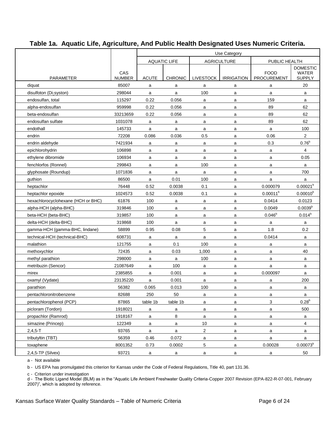|                                    |                      | Use Category |                     |                  |                    |                                   |                        |  |
|------------------------------------|----------------------|--------------|---------------------|------------------|--------------------|-----------------------------------|------------------------|--|
|                                    |                      |              | <b>AQUATIC LIFE</b> |                  | <b>AGRICULTURE</b> | PUBLIC HEALTH                     |                        |  |
|                                    |                      |              |                     |                  |                    |                                   | <b>DOMESTIC</b>        |  |
| <b>PARAMETER</b>                   | CAS<br><b>NUMBER</b> | <b>ACUTE</b> | <b>CHRONIC</b>      | <b>LIVESTOCK</b> | <b>IRRIGATION</b>  | <b>FOOD</b><br><b>PROCUREMENT</b> | WATER<br><b>SUPPLY</b> |  |
| diquat                             | 85007                | a            | a                   | a                | a                  | a                                 | 20                     |  |
| disulfoton (Di-syston)             | 298044               | a            | a                   | 100              | a                  | a                                 | a                      |  |
| endosulfan, total                  | 115297               | 0.22         | 0.056               | a                | a                  | 159                               | a                      |  |
| alpha-endosulfan                   | 959998               | 0.22         | 0.056               | a                | a                  | 89                                | 62                     |  |
| beta-endosulfan                    | 33213659             | 0.22         | 0.056               | a                | a                  | 89                                | 62                     |  |
| endosulfan sulfate                 | 1031078              | a            | a                   | a                | a                  | 89                                | 62                     |  |
| endothall                          | 145733               | a            | a                   | a                | a                  | a                                 | 100                    |  |
| endrin                             | 72208                | 0.086        | 0.036               | 0.5              | a                  | 0.06                              | $\overline{2}$         |  |
| endrin aldehyde                    | 7421934              | a            | a                   | a                | a                  | 0.3                               | $0.76^{b}$             |  |
| epichlorohydrin                    | 106898               | a            | a                   | a                | a                  | a                                 | 4                      |  |
| ethylene dibromide                 | 106934               | a            | a                   | a                | a                  | a                                 | 0.05                   |  |
| fenchlorfos (Ronnel)               | 299843               | a            | a                   | 100              | a                  | a                                 | a                      |  |
| glyphosate (Roundup)               | 1071836              | a            | a                   | a                | a                  | a                                 | 700                    |  |
| guthion                            | 86500                | a            | 0.01                | 100              | a                  | a                                 | a                      |  |
| heptachlor                         | 76448                | 0.52         | 0.0038              | 0.1              | a                  | 0.000079                          | 0.00021 <sup>b</sup>   |  |
| heptachlor epoxide                 | 1024573              | 0.52         | 0.0038              | 0.1              | a                  | $0.00011^{b}$                     | $0.00010^{b}$          |  |
| hexachlorocyclohexane (HCH or BHC) | 61876                | 100          | a                   | a                | a                  | 0.0414                            | 0.0123                 |  |
| alpha-HCH (alpha-BHC)              | 319846               | 100          | a                   | a                | a                  | 0.0049                            | 0.0039 <sup>b</sup>    |  |
| beta-HCH (beta-BHC)                | 319857               | 100          | a                   | a                | a                  | $0.046^{b}$                       | $0.014^{b}$            |  |
| delta-HCH (delta-BHC)              | 319868               | 100          | a                   | a                | a                  | a                                 | a                      |  |
| gamma-HCH (gamma-BHC, lindane)     | 58899                | 0.95         | 0.08                | 5                | a                  | 1.8                               | 0.2                    |  |
| technical-HCH (technical-BHC)      | 608731               | a            | a                   | a                | a                  | 0.0414                            | a                      |  |
| malathion                          | 121755               | a            | 0.1                 | 100              | a                  | a                                 | a                      |  |
| methoxychlor                       | 72435                | a            | 0.03                | 1,000            | a                  | a                                 | 40                     |  |
| methyl parathion                   | 298000               | a            | a                   | 100              | a                  | a                                 | a                      |  |
| metribuzin (Sencor)                | 21087649             | a            | 100                 | a                | a                  | a                                 | a                      |  |
| mirex                              | 2385855              | a            | 0.001               | a                | a                  | 0.000097                          | a                      |  |
| oxamyl (Vydate)                    | 23135220             | a            | 0.001               | a                | a                  | a                                 | 200                    |  |
| parathion                          | 56382                | 0.065        | 0.013               | 100              | a                  | a                                 | a                      |  |
| pentachloronitrobenzene            | 82688                | 250          | 50                  | a                | a                  | a                                 | a                      |  |
| pentachlorophenol (PCP)            | 87865                | table 1b     | table 1b            | a                | a                  | 3                                 | $0.28^{b}$             |  |
| picloram (Tordon)                  | 1918021              | a            | a                   | a                | a                  | a                                 | 500                    |  |
| propachlor (Ramrod)                | 1918167              | a            | 8                   | a                | a                  | a                                 | $\mathsf{a}$           |  |
| simazine (Princep)                 | 122349               | a            | a                   | 10               | $\mathsf{a}$       | $\mathsf{a}$                      | $\overline{4}$         |  |
| $2,4,5 - T$                        | 93765                | a            | a                   | $\overline{c}$   | $\mathsf{a}$       | a                                 | a                      |  |
| tributyltin (TBT)                  | 56359                | 0.46         | 0.072               | a                | a                  | $\mathsf{a}$                      | a                      |  |
| toxaphene                          | 8001352              | 0.73         | 0.0002              | $\,$ 5 $\,$      | a                  | 0.00028                           | $0.00073^{b}$          |  |
| $2,4,5$ -TP (Silvex)               | 93721                | a            | a                   | a                | a                  | $\mathsf{a}$                      | 50                     |  |

a - Not available

b - US EPA has promulgated this criterion for Kansas under the Code of Federal Regulations, Title 40, part 131.36.

c - Criterion under investigation

d - The Biotic Ligand Model (BLM) as in the "Aquatic Life Ambient Freshwater Quality Criteria-Copper 2007 Revision (EPA-822-R-07-001, February 2007)", which is adopted by reference.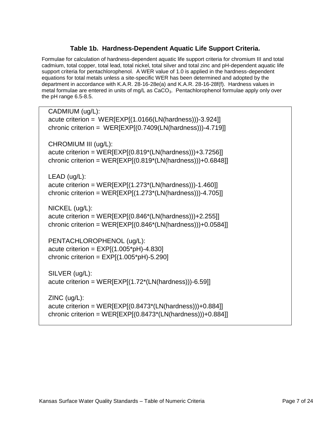#### **Table 1b. Hardness-Dependent Aquatic Life Support Criteria.**

<span id="page-8-0"></span>Formulae for calculation of hardness-dependent aquatic life support criteria for chromium III and total cadmium, total copper, total lead, total nickel, total silver and total zinc and pH-dependent aquatic life support criteria for pentachlorophenol. A WER value of 1.0 is applied in the hardness-dependent equations for total metals unless a site-specific WER has been determined and adopted by the department in accordance with K.A.R. 28-16-28e(a) and K.A.R. 28-16-28f(f). Hardness values in metal formulae are entered in units of mg/L as  $CaCO<sub>3</sub>$ . Pentachlorophenol formulae apply only over the pH range 6.5-8.5.

CADMIUM (ug/L): acute criterion = WER[EXP[(1.0166(LN(hardness)))-3.924]] chronic criterion = WER[EXP[(0.7409(LN(hardness)))-4.719]] CHROMIUM III (ug/L): acute criterion = WER[EXP[(0.819\*(LN(hardness)))+3.7256]] chronic criterion =  $WER[EXP](0.819*(LN(hardness)))+0.6848]$ LEAD (ug/L): acute criterion = WER[EXP[(1.273\*(LN(hardness)))-1.460]] chronic criterion =  $WER[EXP[(1.273*(LN(hardness)))-4.705]]$ NICKEL (ug/L): acute criterion = WER[EXP[(0.846\*(LN(hardness)))+2.255]] chronic criterion =  $WER[EXP](0.846*(LN(hardness)))+0.0584]$ PENTACHLOROPHENOL (ug/L): acute criterion =  $EXP[(1.005<sup>*</sup>pH)-4.830]$ chronic criterion =  $EXP[(1.005<sup>*</sup>pH)-5.290]$ SILVER (ug/L): acute criterion = WER[EXP[(1.72\*(LN(hardness)))-6.59]] ZINC (ug/L): acute criterion =  $WER[EXP](0.8473*(LN(hardness)))+0.884]$ 

chronic criterion =  $WER[EXP](0.8473*(LN(hardness)))+0.884]$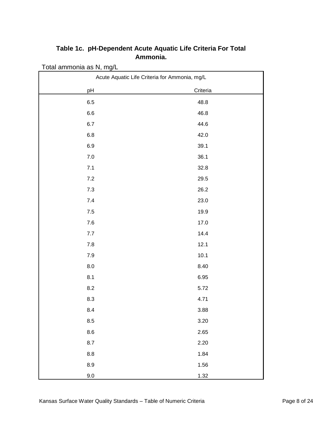| Total ammonia as N, mg/L                      |          |  |  |  |  |  |  |  |
|-----------------------------------------------|----------|--|--|--|--|--|--|--|
| Acute Aquatic Life Criteria for Ammonia, mg/L |          |  |  |  |  |  |  |  |
| pH                                            | Criteria |  |  |  |  |  |  |  |
| $6.5\,$                                       | 48.8     |  |  |  |  |  |  |  |
| $6.6\,$                                       | 46.8     |  |  |  |  |  |  |  |
| 6.7                                           | 44.6     |  |  |  |  |  |  |  |
| $6.8\,$                                       | 42.0     |  |  |  |  |  |  |  |
| 6.9                                           | 39.1     |  |  |  |  |  |  |  |
| $7.0\,$                                       | 36.1     |  |  |  |  |  |  |  |
| 7.1                                           | 32.8     |  |  |  |  |  |  |  |
| 7.2                                           | 29.5     |  |  |  |  |  |  |  |
| $7.3$                                         | 26.2     |  |  |  |  |  |  |  |
| $7.4$                                         | 23.0     |  |  |  |  |  |  |  |
| $7.5\,$                                       | 19.9     |  |  |  |  |  |  |  |
| $7.6\,$                                       | 17.0     |  |  |  |  |  |  |  |
| 7.7                                           | 14.4     |  |  |  |  |  |  |  |
| $7.8$                                         | 12.1     |  |  |  |  |  |  |  |
| $7.9$                                         | 10.1     |  |  |  |  |  |  |  |
| $8.0\,$                                       | 8.40     |  |  |  |  |  |  |  |
| 8.1                                           | 6.95     |  |  |  |  |  |  |  |
| 8.2                                           | 5.72     |  |  |  |  |  |  |  |
| 8.3                                           | 4.71     |  |  |  |  |  |  |  |
| 8.4                                           | 3.88     |  |  |  |  |  |  |  |
| 8.5                                           | 3.20     |  |  |  |  |  |  |  |
| $\bf 8.6$                                     | 2.65     |  |  |  |  |  |  |  |
| 8.7                                           | 2.20     |  |  |  |  |  |  |  |
| $8.8\,$                                       | 1.84     |  |  |  |  |  |  |  |
| 8.9                                           | 1.56     |  |  |  |  |  |  |  |
| $9.0\,$                                       | 1.32     |  |  |  |  |  |  |  |

### <span id="page-9-0"></span>**Table 1c. pH-Dependent Acute Aquatic Life Criteria For Total Ammonia.**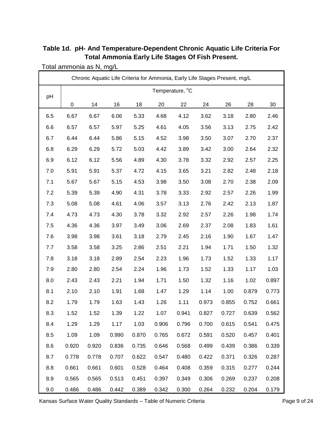<span id="page-10-0"></span>

| Table 1d. pH- And Temperature-Dependent Chronic Aquatic Life Criteria For |
|---------------------------------------------------------------------------|
| <b>Total Ammonia Early Life Stages Of Fish Present.</b>                   |

Total ammonia as N, mg/L

| Chronic Aquatic Life Criteria for Ammonia, Early Life Stages Present, mg/L |       |       |       |       |       |                 |       |       |       |       |  |
|----------------------------------------------------------------------------|-------|-------|-------|-------|-------|-----------------|-------|-------|-------|-------|--|
| pH                                                                         |       |       |       |       |       | Temperature, °C |       |       |       |       |  |
|                                                                            | 0     | 14    | 16    | 18    | 20    | 22              | 24    | 26    | 28    | 30    |  |
| 6.5                                                                        | 6.67  | 6.67  | 6.06  | 5.33  | 4.68  | 4.12            | 3.62  | 3.18  | 2.80  | 2.46  |  |
| 6.6                                                                        | 6.57  | 6.57  | 5.97  | 5.25  | 4.61  | 4.05            | 3.56  | 3.13  | 2.75  | 2.42  |  |
| 6.7                                                                        | 6.44  | 6.44  | 5.86  | 5.15  | 4.52  | 3.98            | 3.50  | 3.07  | 2.70  | 2.37  |  |
| 6.8                                                                        | 6.29  | 6.29  | 5.72  | 5.03  | 4.42  | 3.89            | 3.42  | 3.00  | 2.64  | 2.32  |  |
| 6.9                                                                        | 6.12  | 6.12  | 5.56  | 4.89  | 4.30  | 3.78            | 3.32  | 2.92  | 2.57  | 2.25  |  |
| 7.0                                                                        | 5.91  | 5.91  | 5.37  | 4.72  | 4.15  | 3.65            | 3.21  | 2.82  | 2.48  | 2.18  |  |
| 7.1                                                                        | 5.67  | 5.67  | 5.15  | 4.53  | 3.98  | 3.50            | 3.08  | 2.70  | 2.38  | 2.09  |  |
| 7.2                                                                        | 5.39  | 5.39  | 4.90  | 4.31  | 3.78  | 3.33            | 2.92  | 2.57  | 2.26  | 1.99  |  |
| 7.3                                                                        | 5.08  | 5.08  | 4.61  | 4.06  | 3.57  | 3.13            | 2.76  | 2.42  | 2.13  | 1.87  |  |
| 7.4                                                                        | 4.73  | 4.73  | 4.30  | 3.78  | 3.32  | 2.92            | 2.57  | 2.26  | 1.98  | 1.74  |  |
| 7.5                                                                        | 4.36  | 4.36  | 3.97  | 3.49  | 3.06  | 2.69            | 2.37  | 2.08  | 1.83  | 1.61  |  |
| 7.6                                                                        | 3.98  | 3.98  | 3.61  | 3.18  | 2.79  | 2.45            | 2.16  | 1.90  | 1.67  | 1.47  |  |
| 7.7                                                                        | 3.58  | 3.58  | 3.25  | 2.86  | 2.51  | 2.21            | 1.94  | 1.71  | 1.50  | 1.32  |  |
| 7.8                                                                        | 3.18  | 3.18  | 2.89  | 2.54  | 2.23  | 1.96            | 1.73  | 1.52  | 1.33  | 1.17  |  |
| 7.9                                                                        | 2.80  | 2.80  | 2.54  | 2.24  | 1.96  | 1.73            | 1.52  | 1.33  | 1.17  | 1.03  |  |
| 8.0                                                                        | 2.43  | 2.43  | 2.21  | 1.94  | 1.71  | 1.50            | 1.32  | 1.16  | 1.02  | 0.897 |  |
| 8.1                                                                        | 2.10  | 2.10  | 1.91  | 1.68  | 1.47  | 1.29            | 1.14  | 1.00  | 0.879 | 0.773 |  |
| 8.2                                                                        | 1.79  | 1.79  | 1.63  | 1.43  | 1.26  | 1.11            | 0.973 | 0.855 | 0.752 | 0.661 |  |
| 8.3                                                                        | 1.52  | 1.52  | 1.39  | 1.22  | 1.07  | 0.941           | 0.827 | 0.727 | 0.639 | 0.562 |  |
| 8.4                                                                        | 1.29  | 1.29  | 1.17  | 1.03  | 0.906 | 0.796           | 0.700 | 0.615 | 0.541 | 0.475 |  |
| 8.5                                                                        | 1.09  | 1.09  | 0.990 | 0.870 | 0.765 | 0.672           | 0.591 | 0.520 | 0.457 | 0.401 |  |
| 8.6                                                                        | 0.920 | 0.920 | 0.836 | 0.735 | 0.646 | 0.568           | 0.499 | 0.439 | 0.386 | 0.339 |  |
| 8.7                                                                        | 0.778 | 0.778 | 0.707 | 0.622 | 0.547 | 0.480           | 0.422 | 0.371 | 0.326 | 0.287 |  |
| 8.8                                                                        | 0.661 | 0.661 | 0.601 | 0.528 | 0.464 | 0.408           | 0.359 | 0.315 | 0.277 | 0.244 |  |
| 8.9                                                                        | 0.565 | 0.565 | 0.513 | 0.451 | 0.397 | 0.349           | 0.306 | 0.269 | 0.237 | 0.208 |  |
| 9.0                                                                        | 0.486 | 0.486 | 0.442 | 0.389 | 0.342 | 0.300           | 0.264 | 0.232 | 0.204 | 0.179 |  |

Kansas Surface Water Quality Standards - Table of Numeric Criteria **Page 9 of 24** Page 9 of 24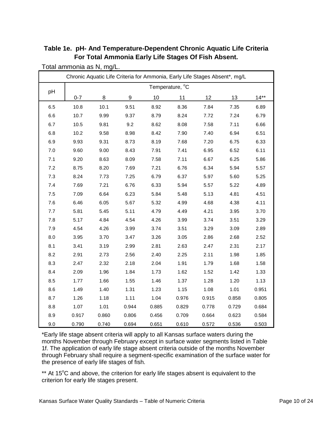|     |         | Chronic Aquatic Life Criteria for Ammonia, Early Life Stages Absent*, mg/L |       |       |                 |       |       |        |
|-----|---------|----------------------------------------------------------------------------|-------|-------|-----------------|-------|-------|--------|
|     |         |                                                                            |       |       | Temperature, °C |       |       |        |
| pH  | $0 - 7$ | 8                                                                          | 9     | 10    | 11              | 12    | 13    | $14**$ |
| 6.5 | 10.8    | 10.1                                                                       | 9.51  | 8.92  | 8.36            | 7.84  | 7.35  | 6.89   |
| 6.6 | 10.7    | 9.99                                                                       | 9.37  | 8.79  | 8.24            | 7.72  | 7.24  | 6.79   |
| 6.7 | 10.5    | 9.81                                                                       | 9.2   | 8.62  | 8.08            | 7.58  | 7.11  | 6.66   |
| 6.8 | 10.2    | 9.58                                                                       | 8.98  | 8.42  | 7.90            | 7.40  | 6.94  | 6.51   |
| 6.9 | 9.93    | 9.31                                                                       | 8.73  | 8.19  | 7.68            | 7.20  | 6.75  | 6.33   |
| 7.0 | 9.60    | 9.00                                                                       | 8.43  | 7.91  | 7.41            | 6.95  | 6.52  | 6.11   |
| 7.1 | 9.20    | 8.63                                                                       | 8.09  | 7.58  | 7.11            | 6.67  | 6.25  | 5.86   |
| 7.2 | 8.75    | 8.20                                                                       | 7.69  | 7.21  | 6.76            | 6.34  | 5.94  | 5.57   |
| 7.3 | 8.24    | 7.73                                                                       | 7.25  | 6.79  | 6.37            | 5.97  | 5.60  | 5.25   |
| 7.4 | 7.69    | 7.21                                                                       | 6.76  | 6.33  | 5.94            | 5.57  | 5.22  | 4.89   |
| 7.5 | 7.09    | 6.64                                                                       | 6.23  | 5.84  | 5.48            | 5.13  | 4.81  | 4.51   |
| 7.6 | 6.46    | 6.05                                                                       | 5.67  | 5.32  | 4.99            | 4.68  | 4.38  | 4.11   |
| 7.7 | 5.81    | 5.45                                                                       | 5.11  | 4.79  | 4.49            | 4.21  | 3.95  | 3.70   |
| 7.8 | 5.17    | 4.84                                                                       | 4.54  | 4.26  | 3.99            | 3.74  | 3.51  | 3.29   |
| 7.9 | 4.54    | 4.26                                                                       | 3.99  | 3.74  | 3.51            | 3.29  | 3.09  | 2.89   |
| 8.0 | 3.95    | 3.70                                                                       | 3.47  | 3.26  | 3.05            | 2.86  | 2.68  | 2.52   |
| 8.1 | 3.41    | 3.19                                                                       | 2.99  | 2.81  | 2.63            | 2.47  | 2.31  | 2.17   |
| 8.2 | 2.91    | 2.73                                                                       | 2.56  | 2.40  | 2.25            | 2.11  | 1.98  | 1.85   |
| 8.3 | 2.47    | 2.32                                                                       | 2.18  | 2.04  | 1.91            | 1.79  | 1.68  | 1.58   |
| 8.4 | 2.09    | 1.96                                                                       | 1.84  | 1.73  | 1.62            | 1.52  | 1.42  | 1.33   |
| 8.5 | 1.77    | 1.66                                                                       | 1.55  | 1.46  | 1.37            | 1.28  | 1.20  | 1.13   |
| 8.6 | 1.49    | 1.40                                                                       | 1.31  | 1.23  | 1.15            | 1.08  | 1.01  | 0.951  |
| 8.7 | 1.26    | 1.18                                                                       | 1.11  | 1.04  | 0.976           | 0.915 | 0.858 | 0.805  |
| 8.8 | 1.07    | 1.01                                                                       | 0.944 | 0.885 | 0.829           | 0.778 | 0.729 | 0.684  |
| 8.9 | 0.917   | 0.860                                                                      | 0.806 | 0.456 | 0.709           | 0.664 | 0.623 | 0.584  |
| 9.0 | 0.790   | 0.740                                                                      | 0.694 | 0.651 | 0.610           | 0.572 | 0.536 | 0.503  |

<span id="page-11-0"></span>**Table 1e. pH- And Temperature-Dependent Chronic Aquatic Life Criteria For Total Ammonia Early Life Stages Of Fish Absent.**

Total ammonia as N, mg/L.

\*Early life stage absent criteria will apply to all Kansas surface waters during the months November through February except in surface water segments listed in Table 1f. The application of early life stage absent criteria outside of the months November through February shall require a segment-specific examination of the surface water for the presence of early life stages of fish.

\*\* At 15°C and above, the criterion for early life stages absent is equivalent to the criterion for early life stages present.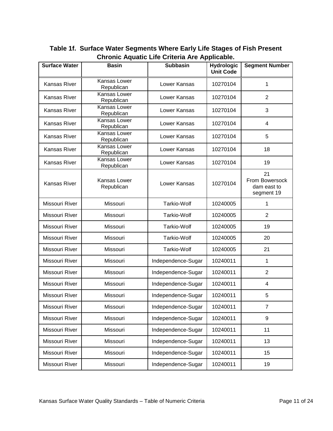| <b>Surface Water</b> | <b>Basin</b>               | <b>Subbasin</b>    | <b>Hydrologic</b><br><b>Unit Code</b> | <b>Segment Number</b>                             |
|----------------------|----------------------------|--------------------|---------------------------------------|---------------------------------------------------|
| Kansas River         | Kansas Lower<br>Republican | Lower Kansas       | 10270104                              | 1                                                 |
| Kansas River         | Kansas Lower<br>Republican | Lower Kansas       | 10270104                              | $\overline{2}$                                    |
| Kansas River         | Kansas Lower<br>Republican | Lower Kansas       | 10270104                              | 3                                                 |
| Kansas River         | Kansas Lower<br>Republican | Lower Kansas       | 10270104                              | 4                                                 |
| Kansas River         | Kansas Lower<br>Republican | Lower Kansas       | 10270104                              | 5                                                 |
| Kansas River         | Kansas Lower<br>Republican | Lower Kansas       | 10270104                              | 18                                                |
| Kansas River         | Kansas Lower<br>Republican | Lower Kansas       | 10270104                              | 19                                                |
| <b>Kansas River</b>  | Kansas Lower<br>Republican | Lower Kansas       | 10270104                              | 21<br>From Bowersock<br>dam east to<br>segment 19 |
| Missouri River       | Missouri                   | Tarkio-Wolf        | 10240005                              | 1                                                 |
| Missouri River       | Missouri                   | Tarkio-Wolf        | 10240005                              | $\overline{2}$                                    |
| Missouri River       | Missouri                   | Tarkio-Wolf        | 10240005                              | 19                                                |
| Missouri River       | Missouri                   | Tarkio-Wolf        | 10240005                              | 20                                                |
| Missouri River       | Missouri                   | Tarkio-Wolf        | 10240005                              | 21                                                |
| Missouri River       | Missouri                   | Independence-Sugar | 10240011                              | 1                                                 |
| Missouri River       | Missouri                   | Independence-Sugar | 10240011                              | $\overline{2}$                                    |
| Missouri River       | Missouri                   | Independence-Sugar | 10240011                              | 4                                                 |
| Missouri River       | Missouri                   | Independence-Sugar | 10240011                              | 5                                                 |
| Missouri River       | Missouri                   | Independence-Sugar | 10240011                              | $\overline{7}$                                    |
| Missouri River       | Missouri                   | Independence-Sugar | 10240011                              | $\boldsymbol{9}$                                  |
| Missouri River       | Missouri                   | Independence-Sugar | 10240011                              | 11                                                |
| Missouri River       | Missouri                   | Independence-Sugar | 10240011                              | 13                                                |
| Missouri River       | Missouri                   | Independence-Sugar | 10240011                              | 15                                                |
| Missouri River       | Missouri                   | Independence-Sugar | 10240011                              | 19                                                |

<span id="page-12-0"></span>**Table 1f. Surface Water Segments Where Early Life Stages of Fish Present Chronic Aquatic Life Criteria Are Applicable.**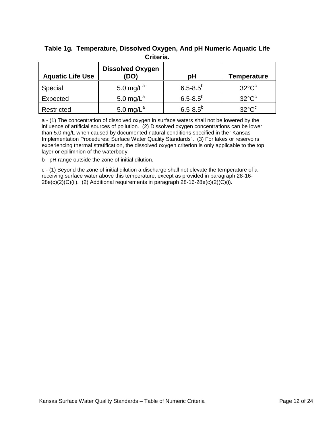| <b>Aquatic Life Use</b> | <b>Dissolved Oxygen</b><br>(DO) | рH              | Temperature           |  |
|-------------------------|---------------------------------|-----------------|-----------------------|--|
| Special                 | 5.0 mg/ $L^a$                   | $6.5 - 8.5^{b}$ | $32^{\circ}C^{\circ}$ |  |
| Expected                | 5.0 mg/ $L^a$                   | $6.5 - 8.5^{b}$ | $32^{\circ}C^{\circ}$ |  |
| Restricted              | 5.0 mg/ $L^a$                   | $6.5 - 8.5^{b}$ | $32^{\circ}C^{\circ}$ |  |

#### <span id="page-13-0"></span>**Table 1g. Temperature, Dissolved Oxygen, And pH Numeric Aquatic Life Criteria.**

a - (1) The concentration of dissolved oxygen in surface waters shall not be lowered by the influence of artificial sources of pollution. (2) Dissolved oxygen concentrations can be lower than 5.0 mg/L when caused by documented natural conditions specified in the "Kansas Implementation Procedures: Surface Water Quality Standards". (3) For lakes or reservoirs experiencing thermal stratification, the dissolved oxygen criterion is only applicable to the top layer or epilimnion of the waterbody.

b - pH range outside the zone of initial dilution.

c - (1) Beyond the zone of initial dilution a discharge shall not elevate the temperature of a receiving surface water above this temperature, except as provided in paragraph 28-16-  $28e(c)(2)(C)(ii)$ . (2) Additional requirements in paragraph  $28-16-28e(c)(2)(C)(i)$ .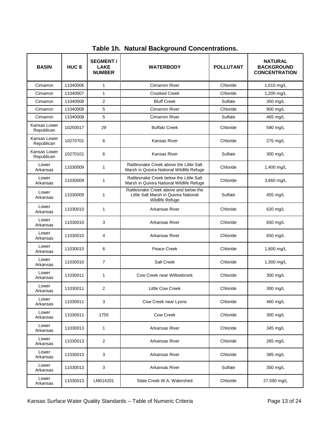<span id="page-14-0"></span>

| <b>BASIN</b>               | HUC <sub>8</sub> | <b>SEGMENT/</b><br><b>LAKE</b><br><b>NUMBER</b> | <b>WATERBODY</b>                                                                                  | <b>POLLUTANT</b> | NATURAL<br><b>BACKGROUND</b><br><b>CONCENTRATION</b> |
|----------------------------|------------------|-------------------------------------------------|---------------------------------------------------------------------------------------------------|------------------|------------------------------------------------------|
| Cimarron                   | 11040006         | 1                                               | <b>Cimarron River</b>                                                                             | Chloride         | 1,010 mg/L                                           |
| Cimarron                   | 11040007         | $\mathbf{1}$                                    | <b>Crooked Creek</b>                                                                              | Chloride         | 1,200 mg/L                                           |
| Cimarron                   | 11040008         | $\overline{2}$                                  | <b>Bluff Creek</b>                                                                                | Sulfate          | 350 mg/L                                             |
| Cimarron                   | 11040008         | 5                                               | <b>Cimarron River</b>                                                                             | Chloride         | 900 mg/L                                             |
| Cimarron                   | 11040008         | 5                                               | <b>Cimarron River</b>                                                                             | Sulfate          | 465 mg/L                                             |
| Kansas Lower<br>Republican | 10250017         | 29                                              | <b>Buffalo Creek</b>                                                                              | Chloride         | 590 mg/L                                             |
| Kansas Lower<br>Republican | 10270701         | 6                                               | <b>Kansas River</b>                                                                               | Chloride         | 275 mg/L                                             |
| Kansas Lower<br>Republican | 10270101         | 6                                               | <b>Kansas River</b>                                                                               | Sulfate          | 300 mg/L                                             |
| Lower<br>Arkansas          | 11030009         | 1                                               | Rattlesnake Creek above the Little Salt<br>Marsh in Quivira National Wildlife Refuge              | Chloride         | 1,400 mg/L                                           |
| Lower<br>Arkansas          | 11030009         | 1                                               | Rattlesnake Creek below the Little Salt<br>Marsh in Quivira National Wildlife Refuge              | Chloride         | 3,660 mg/L                                           |
| Lower<br>Arkansas          | 11030009         | $\mathbf{1}$                                    | Rattlesnake Creek above and below the<br>Little Salt Marsh in Quivira National<br>Wildlife Refuge | Sulfate          | 455 mg/L                                             |
| Lower<br>Arkansas          | 11030010         | 1                                               | Arkansas River                                                                                    | Chloride         | 620 mg/L                                             |
| Lower<br>Arkansas          | 11030010         | 3                                               | Arkansas River                                                                                    | Chloride         | 650 mg/L                                             |
| Lower<br>Arkansas          | 11030010         | 4                                               | Arkansas River                                                                                    | Chloride         | 650 mg/L                                             |
| Lower<br>Arkansas          | 11030010         | 6                                               | Peace Creek                                                                                       | Chloride         | 1,800 mg/L                                           |
| Lower<br>Arkansas          | 11030010         | 7                                               | <b>Salt Creek</b>                                                                                 | Chloride         | 1,300 mg/L                                           |
| Lower<br>Arkansas          | 11030011         | 1                                               | Cow Creek near Willowbrook                                                                        | Chloride         | 300 mg/L                                             |
| Lower<br>Arkansas          | 11030011         | 2                                               | <b>Little Cow Creek</b>                                                                           | Chloride         | 300 mg/L                                             |
| Lower<br>Arkansas          | 11030011         | 3                                               | Cow Creek near Lyons                                                                              | Chloride         | 460 mg/L                                             |
| Lower<br>Arkansas          | 11030011         | 1755                                            | Cow Creek                                                                                         | Chloride         | 300 mg/L                                             |
| Lower<br>Arkansas          | 11030013         | 1                                               | Arkansas River                                                                                    | Chloride         | 345 mg/L                                             |
| Lower<br>Arkansas          | 11030013         | 2                                               | Arkansas River                                                                                    | Chloride         | 265 mg/L                                             |
| Lower<br>Arkansas          | 11030013         | 3                                               | Arkansas River                                                                                    | Chloride         | 385 mg/L                                             |
| Lower<br>Arkansas          | 11030013         | 3                                               | Arkansas River                                                                                    | Sulfate          | 350 mg/L                                             |
| Lower<br>Arkansas          | 11030013         | LM014201                                        | Slate Creek W.A. Watershed                                                                        | Chloride         | 27,590 mg/L                                          |

**Table 1h. Natural Background Concentrations.**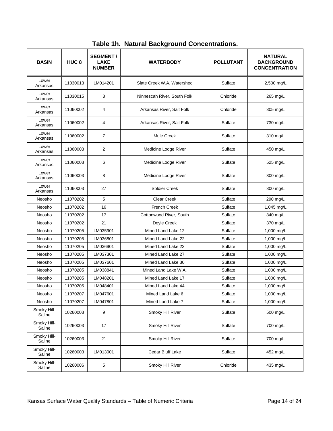| <b>BASIN</b>          | HUC <sub>8</sub> | <b>SEGMENT/</b><br><b>LAKE</b><br><b>NUMBER</b> | <b>WATERBODY</b>            | <b>POLLUTANT</b> | <b>NATURAL</b><br><b>BACKGROUND</b><br><b>CONCENTRATION</b> |
|-----------------------|------------------|-------------------------------------------------|-----------------------------|------------------|-------------------------------------------------------------|
| Lower<br>Arkansas     | 11030013         | LM014201                                        | Slate Creek W.A. Watershed  | Sulfate          | 2,500 mg/L                                                  |
| Lower<br>Arkansas     | 11030015         | 3                                               | Ninnescah River, South Folk | Chloride         | 265 mg/L                                                    |
| Lower<br>Arkansas     | 11060002         | 4                                               | Arkansas River, Salt Folk   | Chloride         | 305 mg/L                                                    |
| Lower<br>Arkansas     | 11060002         | 4                                               | Arkansas River, Salt Folk   | Sulfate          | 730 mg/L                                                    |
| Lower<br>Arkansas     | 11060002         | $\overline{7}$                                  | Mule Creek                  | Sulfate          | 310 mg/L                                                    |
| Lower<br>Arkansas     | 11060003         | $\overline{2}$                                  | Medicine Lodge River        | Sulfate          | 450 mg/L                                                    |
| Lower<br>Arkansas     | 11060003         | 6                                               | Medicine Lodge River        | Sulfate          | 525 mg/L                                                    |
| Lower<br>Arkansas     | 11060003         | 8                                               | Medicine Lodge River        | Sulfate          | 300 mg/L                                                    |
| Lower<br>Arkansas     | 11060003         | 27                                              | Soldier Creek               | Sulfate          | 300 mg/L                                                    |
| Neosho                | 11070202         | 5                                               | <b>Clear Creek</b>          | Sulfate          | 290 mg/L                                                    |
| Neosho                | 11070202         | 16                                              | <b>French Creek</b>         | Sulfate          | 1,045 mg/L                                                  |
| Neosho                | 11070202         | 17                                              | Cottonwood River, South     | Sulfate          | 840 mg/L                                                    |
| Neosho                | 11070202         | 21                                              | Doyle Creek                 | Sulfate          | 370 mg/L                                                    |
| Neosho                | 11070205         | LM035901                                        | Mined Land Lake 12          | Sulfate          | 1,000 mg/L                                                  |
| Neosho                | 11070205         | LM036801                                        | Mined Land Lake 22          | Sulfate          | 1,000 mg/L                                                  |
| Neosho                | 11070205         | LM036901                                        | Mined Land Lake 23          | Sulfate          | 1,000 mg/L                                                  |
| Neosho                | 11070205         | LM037301                                        | Mined Land Lake 27          | Sulfate          | 1,000 mg/L                                                  |
| Neosho                | 11070205         | LM037601                                        | Mined Land Lake 30          | Sulfate          | 1,000 mg/L                                                  |
| Neosho                | 11070205         | LM038841                                        | Mined Land Lake W.A.        | Sulfate          | 1,000 mg/L                                                  |
| Neosho                | 11070205         | LM048201                                        | Mined Land Lake 17          | Sulfate          | 1,000 mg/L                                                  |
| Neosho                | 11070205         | LM048401                                        | Mined Land Lake 44          | Sulfate          | 1,000 mg/L                                                  |
| Neosho                | 11070207         | LM047601                                        | Mined Land Lake 6           | Sulfate          | 1,000 mg/L                                                  |
| Neosho                | 11070207         | LM047801                                        | Mined Land Lake 7           | Sulfate          | 1,000 mg/L                                                  |
| Smoky Hill-<br>Saline | 10260003         | 9                                               | Smoky Hill River            | Sulfate          | 500 mg/L                                                    |
| Smoky Hill-<br>Saline | 10260003         | 17                                              | Smoky Hill River            | Sulfate          | 700 mg/L                                                    |
| Smoky Hill-<br>Saline | 10260003         | 21                                              | Smoky Hill River            | Sulfate          | 700 mg/L                                                    |
| Smoky Hill-<br>Saline | 10260003         | LM013001                                        | Cedar Bluff Lake            | Sulfate          | 452 mg/L                                                    |
| Smoky Hill-<br>Saline | 10260006         | 5                                               | Smoky Hill River            | Chloride         | 435 mg/L                                                    |

**Table 1h. Natural Background Concentrations.**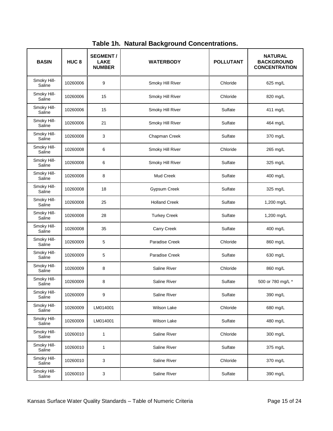| <b>BASIN</b>          | HUC <sub>8</sub> | <b>SEGMENT/</b><br><b>LAKE</b><br><b>NUMBER</b> | <b>WATERBODY</b>     | <b>POLLUTANT</b> | <b>NATURAL</b><br><b>BACKGROUND</b><br><b>CONCENTRATION</b> |
|-----------------------|------------------|-------------------------------------------------|----------------------|------------------|-------------------------------------------------------------|
| Smoky Hill-<br>Saline | 10260006         | 9                                               | Smoky Hill River     | Chloride         | 625 mg/L                                                    |
| Smoky Hill-<br>Saline | 10260006         | 15                                              | Smoky Hill River     | Chloride         | 820 mg/L                                                    |
| Smoky Hill-<br>Saline | 10260006         | 15                                              | Smoky Hill River     | Sulfate          | 411 mg/L                                                    |
| Smoky Hill-<br>Saline | 10260006         | 21                                              | Smoky Hill River     | Sulfate          | 464 mg/L                                                    |
| Smoky Hill-<br>Saline | 10260008         | 3                                               | Chapman Creek        | Sulfate          | 370 mg/L                                                    |
| Smoky Hill-<br>Saline | 10260008         | 6                                               | Smoky Hill River     | Chloride         | 265 mg/L                                                    |
| Smoky Hill-<br>Saline | 10260008         | 6                                               | Smoky Hill River     | Sulfate          | 325 mg/L                                                    |
| Smoky Hill-<br>Saline | 10260008         | 8                                               | <b>Mud Creek</b>     | Sulfate          | 400 mg/L                                                    |
| Smoky Hill-<br>Saline | 10260008         | 18                                              | Gypsum Creek         | Sulfate          | 325 mg/L                                                    |
| Smoky Hill-<br>Saline | 10260008         | 25                                              | <b>Holland Creek</b> | Sulfate          | 1,200 mg/L                                                  |
| Smoky Hill-<br>Saline | 10260008         | 28                                              | <b>Turkey Creek</b>  | Sulfate          | 1,200 mg/L                                                  |
| Smoky Hill-<br>Saline | 10260008         | 35                                              | Carry Creek          | Sulfate          | 400 mg/L                                                    |
| Smoky Hill-<br>Saline | 10260009         | 5                                               | Paradise Creek       | Chloride         | 860 mg/L                                                    |
| Smoky Hill-<br>Saline | 10260009         | 5                                               | Paradise Creek       | Sulfate          | 630 mg/L                                                    |
| Smoky Hill-<br>Saline | 10260009         | 8                                               | <b>Saline River</b>  | Chloride         | 860 mg/L                                                    |
| Smoky Hill-<br>Saline | 10260009         | 8                                               | <b>Saline River</b>  | Sulfate          | 500 or 780 mg/L *                                           |
| Smoky Hill-<br>Saline | 10260009         | 9                                               | Saline River         | Sulfate          | 390 mg/L                                                    |
| Smoky Hill-<br>Saline | 10260009         | LM014001                                        | Wilson Lake          | Chloride         | 680 mg/L                                                    |
| Smoky Hill-<br>Saline | 10260009         | LM014001                                        | Wilson Lake          | Sulfate          | 480 mg/L                                                    |
| Smoky Hill-<br>Saline | 10260010         | $\mathbf{1}$                                    | Saline River         | Chloride         | 300 mg/L                                                    |
| Smoky Hill-<br>Saline | 10260010         | 1                                               | Saline River         | Sulfate          | 375 mg/L                                                    |
| Smoky Hill-<br>Saline | 10260010         | 3                                               | Saline River         | Chloride         | 370 mg/L                                                    |
| Smoky Hill-<br>Saline | 10260010         | 3                                               | Saline River         | Sulfate          | 390 mg/L                                                    |

**Table 1h. Natural Background Concentrations.**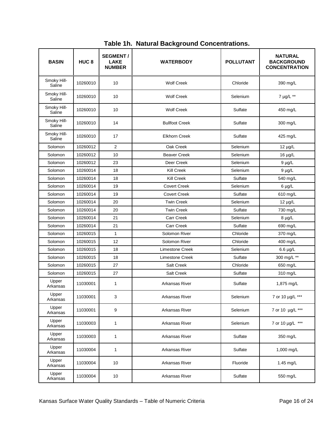| <b>BASIN</b>          | HUC <sub>8</sub> | <b>SEGMENT/</b><br><b>LAKE</b><br><b>NUMBER</b> | <b>WATERBODY</b>      | <b>POLLUTANT</b> | <b>NATURAL</b><br><b>BACKGROUND</b><br><b>CONCENTRATION</b> |
|-----------------------|------------------|-------------------------------------------------|-----------------------|------------------|-------------------------------------------------------------|
| Smoky Hill-<br>Saline | 10260010         | 10                                              | <b>Wolf Creek</b>     | Chloride         | 390 mg/L                                                    |
| Smoky Hill-<br>Saline | 10260010         | 10                                              | <b>Wolf Creek</b>     | Selenium         | 7 µg/L **                                                   |
| Smoky Hill-<br>Saline | 10260010         | 10                                              | <b>Wolf Creek</b>     | Sulfate          | 450 mg/L                                                    |
| Smoky Hill-<br>Saline | 10260010         | 14                                              | <b>Bullfoot Creek</b> | Sulfate          | 300 mg/L                                                    |
| Smoky Hill-<br>Saline | 10260010         | 17                                              | <b>Elkhorn Creek</b>  | Sulfate          | 425 mg/L                                                    |
| Solomon               | 10260012         | 2                                               | Oak Creek             | Selenium         | $12 \mu g/L$                                                |
| Solomon               | 10260012         | 10                                              | <b>Beaver Creek</b>   | Selenium         | $16 \mu g/L$                                                |
| Solomon               | 10260012         | 23                                              | Deer Creek            | Selenium         | $9 \mu g/L$                                                 |
| Solomon               | 10260014         | 18                                              | <b>Kill Creek</b>     | Selenium         | $9 \mu g/L$                                                 |
| Solomon               | 10260014         | 18                                              | <b>Kill Creek</b>     | Sulfate          | 540 mg/L                                                    |
| Solomon               | 10260014         | 19                                              | <b>Covert Creek</b>   | Selenium         | $6 \mu g/L$                                                 |
| Solomon               | 10260014         | 19                                              | <b>Covert Creek</b>   | Sulfate          | 610 mg/L                                                    |
| Solomon               | 10260014         | 20                                              | <b>Twin Creek</b>     | Selenium         | $12 \mu g/L$                                                |
| Solomon               | 10260014         | 20                                              | <b>Twin Creek</b>     | Sulfate          | 730 mg/L                                                    |
| Solomon               | 10260014         | 21                                              | <b>Carr Creek</b>     | Selenium         | $8 \mu g/L$                                                 |
| Solomon               | 10260014         | 21                                              | <b>Carr Creek</b>     | Sulfate          | 690 mg/L                                                    |
| Solomon               | 10260015         | 1                                               | Solomon River         | Chloride         | 370 mg/L                                                    |
| Solomon               | 10260015         | 12                                              | Solomon River         | Chloride         | 400 mg/L                                                    |
| Solomon               | 10260015         | 18                                              | Limestone Creek       | Selenium         | $6.6 \mu g/L$                                               |
| Solomon               | 10260015         | 18                                              | Limestone Creek       | Sulfate          | 300 mg/L **                                                 |
| Solomon               | 10260015         | 27                                              | Salt Creek            | Chloride         | 650 mg/L                                                    |
| Solomon               | 10260015         | 27                                              | Salt Creek            | Sulfate          | 310 mg/L                                                    |
| Upper<br>Arkansas     | 11030001         | 1                                               | Arkansas River        | Sulfate          | 1,875 mg/L                                                  |
| Upper<br>Arkansas     | 11030001         | 3                                               | Arkansas River        | Selenium         | 7 or 10 µg/L ***                                            |
| Upper<br>Arkansas     | 11030001         | 9                                               | Arkansas River        | Selenium         | 7 or 10 µg/L ***                                            |
| Upper<br>Arkansas     | 11030003         | 1                                               | <b>Arkansas River</b> | Selenium         | 7 or 10 µg/L ***                                            |
| Upper<br>Arkansas     | 11030003         | 1                                               | Arkansas River        | Sulfate          | 350 mg/L                                                    |
| Upper<br>Arkansas     | 11030004         | 1                                               | Arkansas River        | Sulfate          | 1,000 mg/L                                                  |
| Upper<br>Arkansas     | 11030004         | 10                                              | Arkansas River        | Fluoride         | 1.45 mg/L                                                   |
| Upper<br>Arkansas     | 11030004         | 10                                              | Arkansas River        | Sulfate          | 550 mg/L                                                    |

**Table 1h. Natural Background Concentrations.**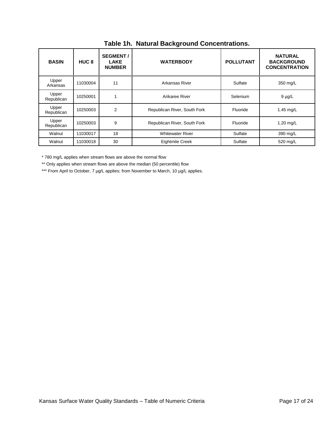| <b>BASIN</b>        | HUC <sub>8</sub> | <b>SEGMENT/</b><br><b>LAKE</b><br><b>NUMBER</b> | <b>WATERBODY</b>             | <b>POLLUTANT</b> | <b>NATURAL</b><br><b>BACKGROUND</b><br><b>CONCENTRATION</b> |
|---------------------|------------------|-------------------------------------------------|------------------------------|------------------|-------------------------------------------------------------|
| Upper<br>Arkansas   | 11030004         | 11                                              | Arkansas River               | Sulfate          | 350 mg/L                                                    |
| Upper<br>Republican | 10250001         |                                                 | Arikaree River               | Selenium         | $9 \mu g/L$                                                 |
| Upper<br>Republican | 10250003         | $\mathfrak{p}$                                  | Republican River, South Fork | Fluoride         | $1.45$ mg/L                                                 |
| Upper<br>Republican | 10250003         | 9                                               | Republican River, South Fork | Fluoride         | $1.20$ mg/L                                                 |
| Walnut              | 11030017         | 18                                              | <b>Whitewater River</b>      | Sulfate          | 390 mg/L                                                    |
| Walnut              | 11030018         | 30                                              | Eightmile Creek              | Sulfate          | 520 mg/L                                                    |

**Table 1h. Natural Background Concentrations.**

\* 780 mg/L applies when stream flows are above the normal flow

\*\* Only applies when stream flows are above the median (50 percentile) flow

\*\*\* From April to October, 7 µg/L applies; from November to March, 10 µg/L applies.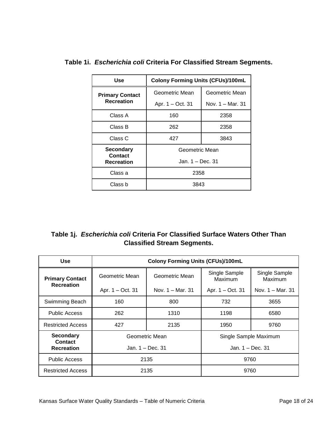| Use                         | <b>Colony Forming Units (CFUs)/100mL</b> |                  |  |
|-----------------------------|------------------------------------------|------------------|--|
| <b>Primary Contact</b>      | Geometric Mean                           | Geometric Mean   |  |
| <b>Recreation</b>           | Apr. 1 - Oct. 31                         | Nov. 1 – Mar. 31 |  |
| Class A                     | 160                                      | 2358             |  |
| Class B                     | 262                                      | 2358             |  |
| Class C                     | 427                                      | 3843             |  |
| <b>Secondary</b><br>Contact | Geometric Mean                           |                  |  |
| <b>Recreation</b>           | Jan. 1 – Dec. 31                         |                  |  |
| Class a                     | 2358                                     |                  |  |
| Class b                     | 3843                                     |                  |  |

<span id="page-19-0"></span>**Table 1i.** *Escherichia coli* **Criteria For Classified Stream Segments.**

<span id="page-19-1"></span>

| Table 1j. Escherichia coli Criteria For Classified Surface Waters Other Than |
|------------------------------------------------------------------------------|
| <b>Classified Stream Segments.</b>                                           |

| <b>Use</b>                         | <b>Colony Forming Units (CFUs)/100mL</b> |                  |                          |                          |
|------------------------------------|------------------------------------------|------------------|--------------------------|--------------------------|
| <b>Primary Contact</b>             | Geometric Mean                           | Geometric Mean   | Single Sample<br>Maximum | Single Sample<br>Maximum |
| <b>Recreation</b>                  | Apr. 1 – Oct. 31                         | Nov. 1 – Mar. 31 | Apr. 1 - Oct. 31         | Nov. 1 – Mar. 31         |
| Swimming Beach                     | 160                                      | 800              | 732                      | 3655                     |
| <b>Public Access</b>               | 262                                      | 1310             | 1198                     | 6580                     |
| <b>Restricted Access</b>           | 427                                      | 2135             | 1950                     | 9760                     |
| <b>Secondary</b><br><b>Contact</b> | Geometric Mean                           |                  | Single Sample Maximum    |                          |
| <b>Recreation</b>                  | Jan. 1 – Dec. 31                         |                  | Jan. 1 – Dec. 31         |                          |
| <b>Public Access</b>               | 2135                                     |                  | 9760                     |                          |
| <b>Restricted Access</b>           |                                          | 2135             | 9760                     |                          |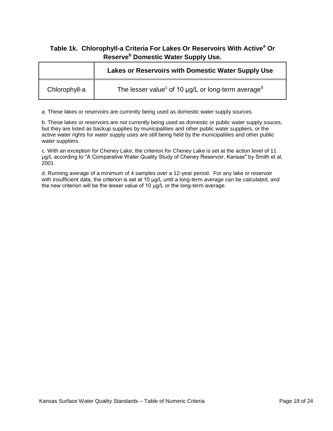#### <span id="page-20-0"></span>**Table 1k. Chlorophyll-a Criteria For Lakes Or Reservoirs With Active<sup>a</sup> Or Reserve<sup>b</sup> Domestic Water Supply Use.**

|               | Lakes or Reservoirs with Domestic Water Supply Use                              |
|---------------|---------------------------------------------------------------------------------|
| Chlorophyll-a | The lesser value <sup>c</sup> of 10 $\mu$ g/L or long-term average <sup>d</sup> |

a. These lakes or reservoirs are currently being used as domestic water supply sources.

b. These lakes or reservoirs are not currently being used as domestic or public water supply souces, but they are listed as backup supplies by municipalities and other public water suppliers, or the active water rights for water supply uses are still being held by the municipalities and other public water suppliers.

c. With an exception for Cheney Lake, the criterion for Cheney Lake is set at the action level of 11 μg/L according to "A Comparative Water Quality Study of Cheney Reservoir, Kansas" by Smith et al, 2001.

d. Running average of a minimum of 4 samples over a 12-year period. For any lake or reservoir with insufficient data, the criterion is set at 10 μg/L until a long-term average can be calculated, and the new criterion will be the lesser value of 10 μg/L or the long-term average.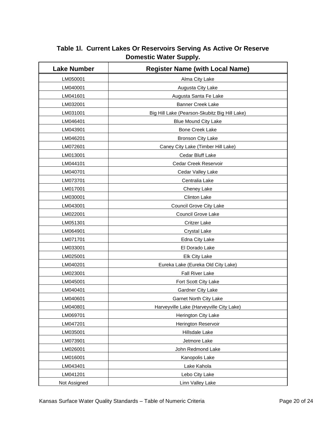| <b>Lake Number</b> | <b>Register Name (with Local Name)</b>        |  |
|--------------------|-----------------------------------------------|--|
| LM050001           | Alma City Lake                                |  |
| LM040001           | Augusta City Lake                             |  |
| LM041601           | Augusta Santa Fe Lake                         |  |
| LM032001           | <b>Banner Creek Lake</b>                      |  |
| LM031001           | Big Hill Lake (Pearson-Skubitz Big Hill Lake) |  |
| LM046401           | <b>Blue Mound City Lake</b>                   |  |
| LM043901           | <b>Bone Creek Lake</b>                        |  |
| LM046201           | <b>Bronson City Lake</b>                      |  |
| LM072601           | Caney City Lake (Timber Hill Lake)            |  |
| LM013001           | Cedar Bluff Lake                              |  |
| LM044101           | Cedar Creek Reservoir                         |  |
| LM040701           | Cedar Valley Lake                             |  |
| LM073701           | Centralia Lake                                |  |
| LM017001           | Cheney Lake                                   |  |
| LM030001           | <b>Clinton Lake</b>                           |  |
| LM043001           | Council Grove City Lake                       |  |
| LM022001           | Council Grove Lake                            |  |
| LM051301           | <b>Critzer Lake</b>                           |  |
| LM064901           | <b>Crystal Lake</b>                           |  |
| LM071701           | Edna City Lake                                |  |
| LM033001           | El Dorado Lake                                |  |
| LM025001           | Elk City Lake                                 |  |
| LM040201           | Eureka Lake (Eureka Old City Lake)            |  |
| LM023001           | Fall River Lake                               |  |
| LM045001           | Fort Scott City Lake                          |  |
| LM040401           | Gardner City Lake                             |  |
| LM040601           | <b>Garnet North City Lake</b>                 |  |
| LM040801           | Harveyville Lake (Harveyville City Lake)      |  |
| LM069701           | Herington City Lake                           |  |
| LM047201           | Herington Reservoir                           |  |
| LM035001           | Hillsdale Lake                                |  |
| LM073901           | Jetmore Lake                                  |  |
| LM026001           | John Redmond Lake                             |  |
| LM016001           | Kanopolis Lake                                |  |
| LM043401           | Lake Kahola                                   |  |
| LM041201           | Lebo City Lake                                |  |
| Not Assigned       | Linn Valley Lake                              |  |

<span id="page-21-0"></span>**Table 1l. Current Lakes Or Reservoirs Serving As Active Or Reserve Domestic Water Supply.**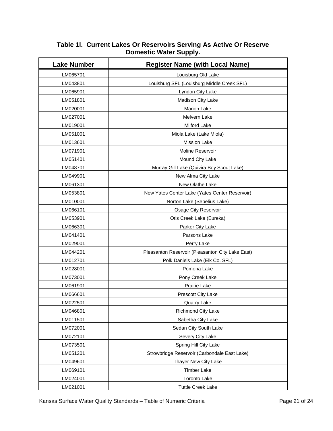| <b>Lake Number</b> | <b>Register Name (with Local Name)</b>           |
|--------------------|--------------------------------------------------|
| LM065701           | Louisburg Old Lake                               |
| LM043801           | Louisburg SFL (Louisburg Middle Creek SFL)       |
| LM065901           | Lyndon City Lake                                 |
| LM051801           | Madison City Lake                                |
| LM020001           | <b>Marion Lake</b>                               |
| LM027001           | Melvern Lake                                     |
| LM019001           | Milford Lake                                     |
| LM051001           | Miola Lake (Lake Miola)                          |
| LM013601           | <b>Mission Lake</b>                              |
| LM071901           | Moline Reservoir                                 |
| LM051401           | Mound City Lake                                  |
| LM048701           | Murray Gill Lake (Quivira Boy Scout Lake)        |
| LM049901           | New Alma City Lake                               |
| LM061301           | New Olathe Lake                                  |
| LM053801           | New Yates Center Lake (Yates Center Reservoir)   |
| LM010001           | Norton Lake (Sebelius Lake)                      |
| LM066101           | Osage City Reservoir                             |
| LM053901           | Otis Creek Lake (Eureka)                         |
| LM066301           | Parker City Lake                                 |
| LM041401           | Parsons Lake                                     |
| LM029001           | Perry Lake                                       |
| LM044201           | Pleasanton Reservoir (Pleasanton City Lake East) |
| LM012701           | Polk Daniels Lake (Elk Co. SFL)                  |
| LM028001           | Pomona Lake                                      |
| LM073001           | Pony Creek Lake                                  |
| LM061901           | Prairie Lake                                     |
| LM066601           | Prescott City Lake                               |
| LM022501           | Quarry Lake                                      |
| LM046801           | Richmond City Lake                               |
| LM011501           | Sabetha City Lake                                |
| LM072001           | Sedan City South Lake                            |
| LM072101           | Severy City Lake                                 |
| LM073501           | Spring Hill City Lake                            |
| LM051201           | Strowbridge Reservoir (Carbondale East Lake)     |
| LM049601           | Thayer New City Lake                             |
| LM069101           | <b>Timber Lake</b>                               |
| LM024001           | <b>Toronto Lake</b>                              |
| LM021001           | <b>Tuttle Creek Lake</b>                         |

#### **Table 1l. Current Lakes Or Reservoirs Serving As Active Or Reserve Domestic Water Supply.**